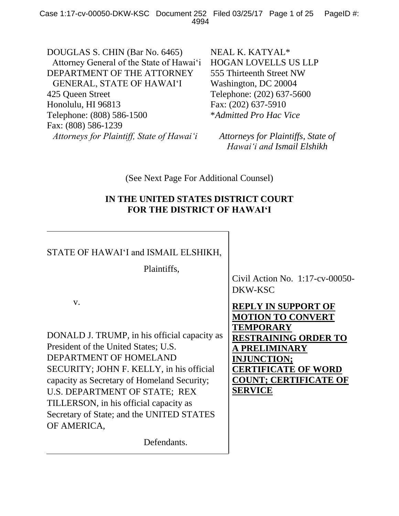DOUGLAS S. CHIN (Bar No. 6465) Attorney General of the State of Hawai'i DEPARTMENT OF THE ATTORNEY GENERAL, STATE OF HAWAI'I 425 Queen Street Honolulu, HI 96813 Telephone: (808) 586-1500 Fax: (808) 586-1239 *Attorneys for Plaintiff, State of Hawai'i*

NEAL K. KATYAL\* HOGAN LOVELLS US LLP 555 Thirteenth Street NW Washington, DC 20004 Telephone: (202) 637-5600 Fax: (202) 637-5910 \**Admitted Pro Hac Vice*

*Attorneys for Plaintiffs, State of Hawai'i and Ismail Elshikh*

(See Next Page For Additional Counsel)

## **IN THE UNITED STATES DISTRICT COURT FOR THE DISTRICT OF HAWAI'I**

## STATE OF HAWAI'I and ISMAIL ELSHIKH,

Plaintiffs,

v.

DONALD J. TRUMP, in his official capacity as President of the United States; U.S. DEPARTMENT OF HOMELAND SECURITY; JOHN F. KELLY, in his official capacity as Secretary of Homeland Security; U.S. DEPARTMENT OF STATE; REX TILLERSON, in his official capacity as Secretary of State; and the UNITED STATES OF AMERICA,

Defendants.

Civil Action No. 1:17-cv-00050- DKW-KSC

**REPLY IN SUPPORT OF MOTION TO CONVERT TEMPORARY RESTRAINING ORDER TO A PRELIMINARY INJUNCTION; CERTIFICATE OF WORD COUNT; CERTIFICATE OF SERVICE**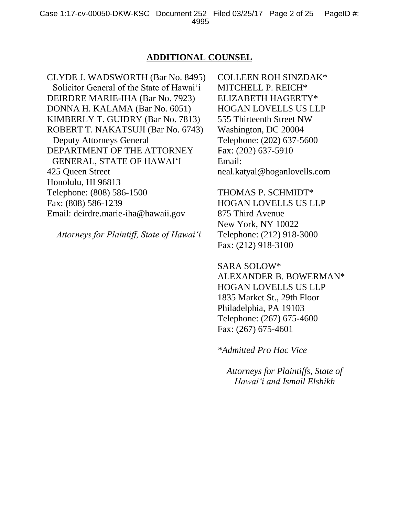## **ADDITIONAL COUNSEL**

CLYDE J. WADSWORTH (Bar No. 8495) Solicitor General of the State of Hawai'i DEIRDRE MARIE-IHA (Bar No. 7923) DONNA H. KALAMA (Bar No. 6051) KIMBERLY T. GUIDRY (Bar No. 7813) ROBERT T. NAKATSUJI (Bar No. 6743) Deputy Attorneys General DEPARTMENT OF THE ATTORNEY GENERAL, STATE OF HAWAI'I 425 Queen Street Honolulu, HI 96813 Telephone: (808) 586-1500 Fax: (808) 586-1239 Email: deirdre.marie-iha@hawaii.gov

*Attorneys for Plaintiff, State of Hawai'i*

COLLEEN ROH SINZDAK\* MITCHELL P. REICH\* ELIZABETH HAGERTY\* HOGAN LOVELLS US LLP 555 Thirteenth Street NW Washington, DC 20004 Telephone: (202) 637-5600 Fax: (202) 637-5910 Email: neal.katyal@hoganlovells.com

THOMAS P. SCHMIDT\* HOGAN LOVELLS US LLP 875 Third Avenue New York, NY 10022 Telephone: (212) 918-3000 Fax: (212) 918-3100

SARA SOLOW\* ALEXANDER B. BOWERMAN\* HOGAN LOVELLS US LLP 1835 Market St., 29th Floor Philadelphia, PA 19103 Telephone: (267) 675-4600 Fax: (267) 675-4601

*\*Admitted Pro Hac Vice*

*Attorneys for Plaintiffs, State of Hawai'i and Ismail Elshikh*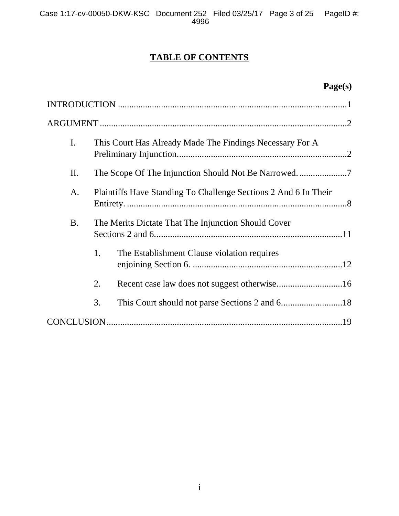# **TABLE OF CONTENTS**

# **Page(s)**

| I.        | This Court Has Already Made The Findings Necessary For A        |  |
|-----------|-----------------------------------------------------------------|--|
| II.       |                                                                 |  |
| A.        | Plaintiffs Have Standing To Challenge Sections 2 And 6 In Their |  |
| <b>B.</b> | The Merits Dictate That The Injunction Should Cover             |  |
| 1.        | The Establishment Clause violation requires                     |  |
| 2.        |                                                                 |  |
| 3.        |                                                                 |  |
|           |                                                                 |  |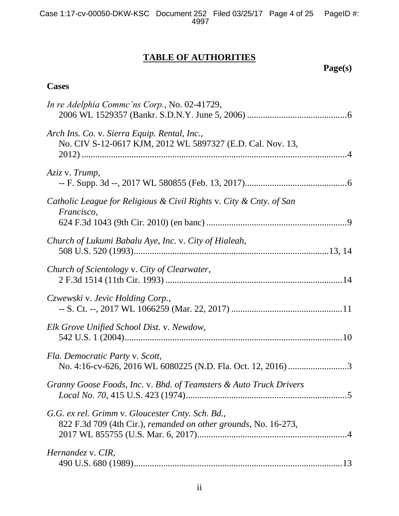## **TABLE OF AUTHORITIES**

**Page(s)**

## **Cases**

| In re Adelphia Commc'ns Corp., No. 02-41729,                                                                        |
|---------------------------------------------------------------------------------------------------------------------|
| Arch Ins. Co. v. Sierra Equip. Rental, Inc.,<br>No. CIV S-12-0617 KJM, 2012 WL 5897327 (E.D. Cal. Nov. 13,          |
| Aziz v. Trump,                                                                                                      |
| Catholic League for Religious & Civil Rights v. City & Cnty. of San<br>Francisco,                                   |
|                                                                                                                     |
| Church of Lukumi Babalu Aye, Inc. v. City of Hialeah,                                                               |
| Church of Scientology v. City of Clearwater,                                                                        |
| Czwewski v. Jevic Holding Corp.,                                                                                    |
| Elk Grove Unified School Dist. v. Newdow,                                                                           |
| Fla. Democratic Party v. Scott,<br>No. 4:16-cv-626, 2016 WL 6080225 (N.D. Fla. Oct. 12, 2016) 3                     |
| Granny Goose Foods, Inc. v. Bhd. of Teamsters & Auto Truck Drivers                                                  |
| G.G. ex rel. Grimm v. Gloucester Cnty. Sch. Bd.,<br>822 F.3d 709 (4th Cir.), remanded on other grounds, No. 16-273, |
| Hernandez v. CIR,                                                                                                   |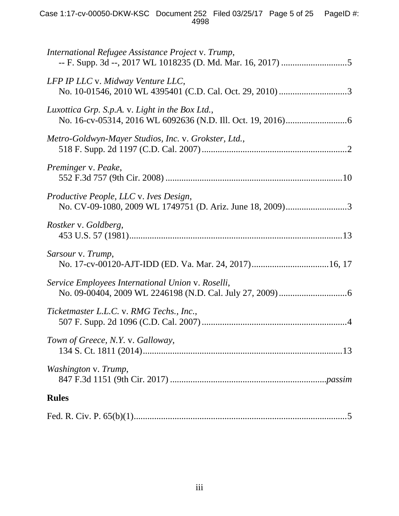| International Refugee Assistance Project v. Trump,                                                         |
|------------------------------------------------------------------------------------------------------------|
| LFP IP LLC v. Midway Venture LLC,                                                                          |
| Luxottica Grp. S.p.A. v. Light in the Box Ltd.,                                                            |
| Metro-Goldwyn-Mayer Studios, Inc. v. Grokster, Ltd.,                                                       |
| Preminger v. Peake,                                                                                        |
| <i>Productive People, LLC v. Ives Design,</i><br>No. CV-09-1080, 2009 WL 1749751 (D. Ariz. June 18, 2009)3 |
| Rostker v. Goldberg,                                                                                       |
| Sarsour v. Trump,                                                                                          |
| Service Employees International Union v. Roselli,                                                          |
| Ticketmaster L.L.C. v. RMG Techs., Inc.,                                                                   |
| Town of Greece, N.Y. v. Galloway,                                                                          |
| Washington v. Trump,                                                                                       |
| <b>Rules</b>                                                                                               |
|                                                                                                            |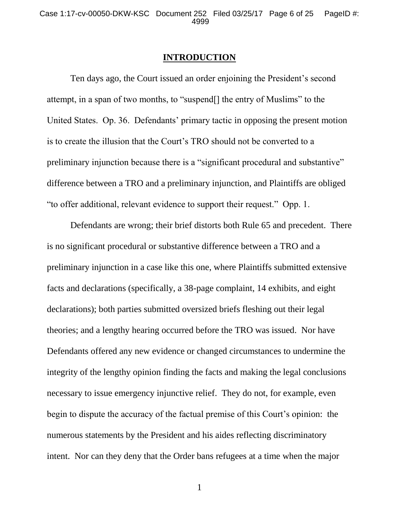#### **INTRODUCTION**

Ten days ago, the Court issued an order enjoining the President's second attempt, in a span of two months, to "suspend[] the entry of Muslims" to the United States. Op. 36. Defendants' primary tactic in opposing the present motion is to create the illusion that the Court's TRO should not be converted to a preliminary injunction because there is a "significant procedural and substantive" difference between a TRO and a preliminary injunction, and Plaintiffs are obliged "to offer additional, relevant evidence to support their request." Opp. 1.

Defendants are wrong; their brief distorts both Rule 65 and precedent. There is no significant procedural or substantive difference between a TRO and a preliminary injunction in a case like this one, where Plaintiffs submitted extensive facts and declarations (specifically, a 38-page complaint, 14 exhibits, and eight declarations); both parties submitted oversized briefs fleshing out their legal theories; and a lengthy hearing occurred before the TRO was issued. Nor have Defendants offered any new evidence or changed circumstances to undermine the integrity of the lengthy opinion finding the facts and making the legal conclusions necessary to issue emergency injunctive relief. They do not, for example, even begin to dispute the accuracy of the factual premise of this Court's opinion: the numerous statements by the President and his aides reflecting discriminatory intent. Nor can they deny that the Order bans refugees at a time when the major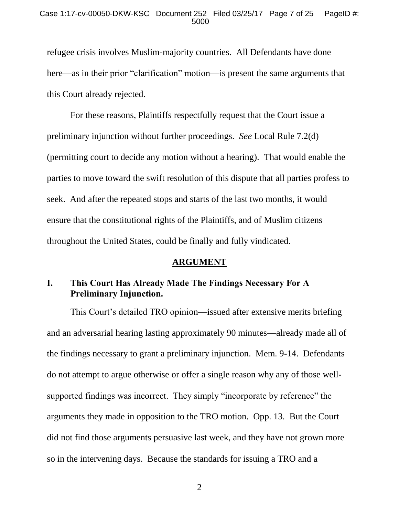#### Case 1:17-cv-00050-DKW-KSC Document 252 Filed 03/25/17 Page 7 of 25 PageID #: 5000

refugee crisis involves Muslim-majority countries. All Defendants have done here—as in their prior "clarification" motion—is present the same arguments that this Court already rejected.

For these reasons, Plaintiffs respectfully request that the Court issue a preliminary injunction without further proceedings. *See* Local Rule 7.2(d) (permitting court to decide any motion without a hearing). That would enable the parties to move toward the swift resolution of this dispute that all parties profess to seek. And after the repeated stops and starts of the last two months, it would ensure that the constitutional rights of the Plaintiffs, and of Muslim citizens throughout the United States, could be finally and fully vindicated.

## **ARGUMENT**

## **I. This Court Has Already Made The Findings Necessary For A Preliminary Injunction.**

This Court's detailed TRO opinion—issued after extensive merits briefing and an adversarial hearing lasting approximately 90 minutes—already made all of the findings necessary to grant a preliminary injunction. Mem. 9-14. Defendants do not attempt to argue otherwise or offer a single reason why any of those wellsupported findings was incorrect. They simply "incorporate by reference" the arguments they made in opposition to the TRO motion. Opp. 13. But the Court did not find those arguments persuasive last week, and they have not grown more so in the intervening days. Because the standards for issuing a TRO and a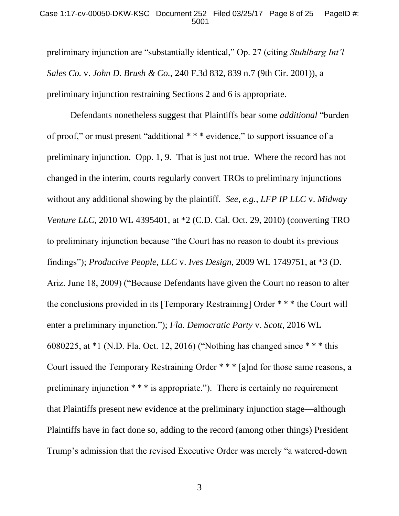#### Case 1:17-cv-00050-DKW-KSC Document 252 Filed 03/25/17 Page 8 of 25 PageID #: 5001

preliminary injunction are "substantially identical," Op. 27 (citing *Stuhlbarg Int'l Sales Co.* v. *John D. Brush & Co.*, 240 F.3d 832, 839 n.7 (9th Cir. 2001)), a preliminary injunction restraining Sections 2 and 6 is appropriate.

Defendants nonetheless suggest that Plaintiffs bear some *additional* "burden of proof," or must present "additional \* \* \* evidence," to support issuance of a preliminary injunction. Opp. 1, 9. That is just not true. Where the record has not changed in the interim, courts regularly convert TROs to preliminary injunctions without any additional showing by the plaintiff. *See, e.g.*, *LFP IP LLC* v. *Midway Venture LLC*, 2010 WL 4395401, at  $*2$  (C.D. Cal. Oct. 29, 2010) (converting TRO to preliminary injunction because "the Court has no reason to doubt its previous findings"); *Productive People, LLC* v. *Ives Design*, 2009 WL 1749751, at \*3 (D. Ariz. June 18, 2009) ("Because Defendants have given the Court no reason to alter the conclusions provided in its [Temporary Restraining] Order \* \* \* the Court will enter a preliminary injunction."); *Fla. Democratic Party* v. *Scott*, 2016 WL 6080225, at \*1 (N.D. Fla. Oct. 12, 2016) ("Nothing has changed since \* \* \* this Court issued the Temporary Restraining Order \* \* \* [a]nd for those same reasons, a preliminary injunction \* \* \* is appropriate."). There is certainly no requirement that Plaintiffs present new evidence at the preliminary injunction stage—although Plaintiffs have in fact done so, adding to the record (among other things) President Trump's admission that the revised Executive Order was merely "a watered-down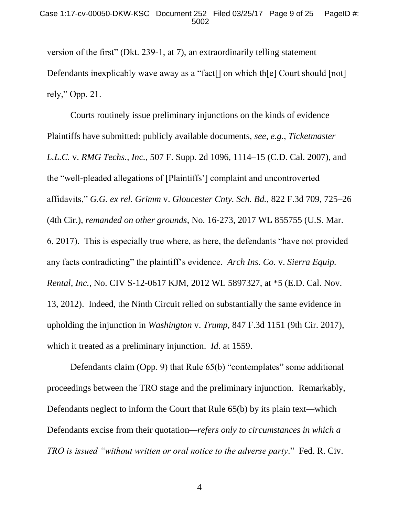version of the first" (Dkt. 239-1, at 7), an extraordinarily telling statement Defendants inexplicably wave away as a "fact<sup>[]</sup> on which th[e] Court should [not] rely," Opp. 21.

Courts routinely issue preliminary injunctions on the kinds of evidence Plaintiffs have submitted: publicly available documents, *see, e.g.*, *Ticketmaster L.L.C.* v. *RMG Techs., Inc.*, 507 F. Supp. 2d 1096, 1114–15 (C.D. Cal. 2007), and the "well-pleaded allegations of [Plaintiffs'] complaint and uncontroverted affidavits," *G.G. ex rel. Grimm* v. *Gloucester Cnty. Sch. Bd.*, 822 F.3d 709, 725–26 (4th Cir.), *remanded on other grounds*, No. 16-273, 2017 WL 855755 (U.S. Mar. 6, 2017). This is especially true where, as here, the defendants "have not provided any facts contradicting" the plaintiff's evidence. *Arch Ins. Co.* v. *Sierra Equip. Rental, Inc.*, No. CIV S-12-0617 KJM, 2012 WL 5897327, at \*5 (E.D. Cal. Nov. 13, 2012). Indeed, the Ninth Circuit relied on substantially the same evidence in upholding the injunction in *Washington* v. *Trump*, 847 F.3d 1151 (9th Cir. 2017), which it treated as a preliminary injunction. *Id.* at 1559.

Defendants claim (Opp. 9) that Rule 65(b) "contemplates" some additional proceedings between the TRO stage and the preliminary injunction. Remarkably, Defendants neglect to inform the Court that Rule 65(b) by its plain text*—*which Defendants excise from their quotation*—refers only to circumstances in which a TRO is issued "without written or oral notice to the adverse party*." Fed. R. Civ.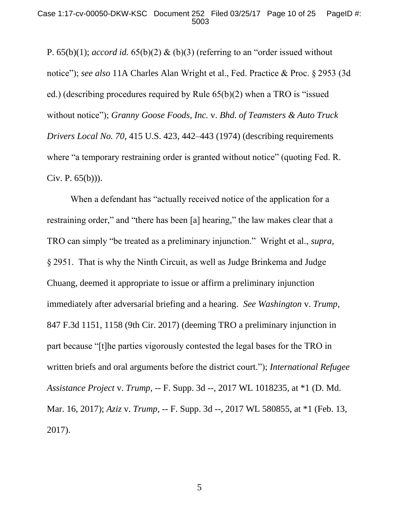P. 65(b)(1); *accord id.* 65(b)(2) & (b)(3) (referring to an "order issued without notice"); *see also* 11A Charles Alan Wright et al., Fed. Practice & Proc. § 2953 (3d ed.) (describing procedures required by Rule 65(b)(2) when a TRO is "issued without notice"); *Granny Goose Foods, Inc.* v. *Bhd. of Teamsters & Auto Truck Drivers Local No. 70*, 415 U.S. 423, 442–443 (1974) (describing requirements where "a temporary restraining order is granted without notice" (quoting Fed. R. Civ. P. 65(b))).

When a defendant has "actually received notice of the application for a restraining order," and "there has been [a] hearing," the law makes clear that a TRO can simply "be treated as a preliminary injunction." Wright et al., *supra*, § 2951. That is why the Ninth Circuit, as well as Judge Brinkema and Judge Chuang, deemed it appropriate to issue or affirm a preliminary injunction immediately after adversarial briefing and a hearing. *See Washington* v. *Trump*, 847 F.3d 1151, 1158 (9th Cir. 2017) (deeming TRO a preliminary injunction in part because "[t]he parties vigorously contested the legal bases for the TRO in written briefs and oral arguments before the district court."); *International Refugee Assistance Project* v. *Trump*, -- F. Supp. 3d --, 2017 WL 1018235, at \*1 (D. Md. Mar. 16, 2017); *Aziz* v. *Trump*, -- F. Supp. 3d --, 2017 WL 580855, at \*1 (Feb. 13, 2017).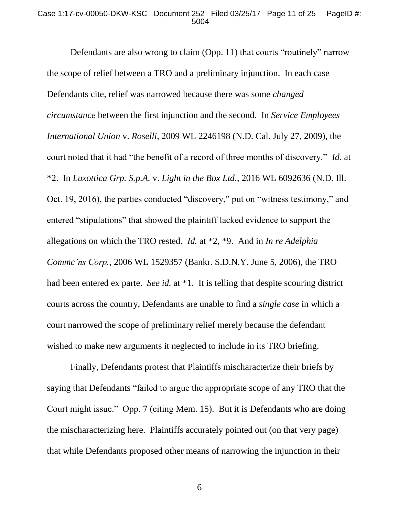#### Case 1:17-cv-00050-DKW-KSC Document 252 Filed 03/25/17 Page 11 of 25 PageID #: 5004

Defendants are also wrong to claim (Opp. 11) that courts "routinely" narrow the scope of relief between a TRO and a preliminary injunction. In each case Defendants cite, relief was narrowed because there was some *changed circumstance* between the first injunction and the second. In *Service Employees International Union* v. *Roselli*, 2009 WL 2246198 (N.D. Cal. July 27, 2009), the court noted that it had "the benefit of a record of three months of discovery." *Id.* at \*2. In *Luxottica Grp. S.p.A.* v. *Light in the Box Ltd.*, 2016 WL 6092636 (N.D. Ill. Oct. 19, 2016), the parties conducted "discovery," put on "witness testimony," and entered "stipulations" that showed the plaintiff lacked evidence to support the allegations on which the TRO rested. *Id.* at \*2, \*9. And in *In re Adelphia Commc'ns Corp.*, 2006 WL 1529357 (Bankr. S.D.N.Y. June 5, 2006), the TRO had been entered ex parte. *See id.* at \*1. It is telling that despite scouring district courts across the country, Defendants are unable to find a *single case* in which a court narrowed the scope of preliminary relief merely because the defendant wished to make new arguments it neglected to include in its TRO briefing.

Finally, Defendants protest that Plaintiffs mischaracterize their briefs by saying that Defendants "failed to argue the appropriate scope of any TRO that the Court might issue." Opp. 7 (citing Mem. 15). But it is Defendants who are doing the mischaracterizing here. Plaintiffs accurately pointed out (on that very page) that while Defendants proposed other means of narrowing the injunction in their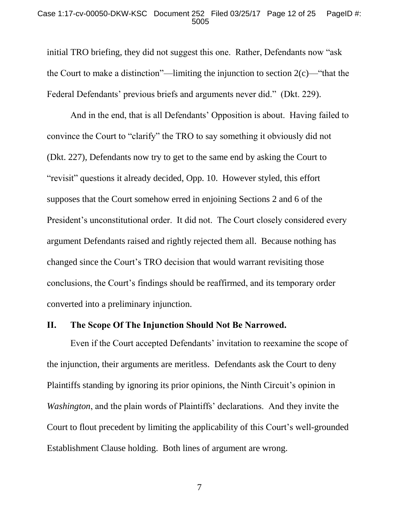#### Case 1:17-cv-00050-DKW-KSC Document 252 Filed 03/25/17 Page 12 of 25 PageID #: 5005

initial TRO briefing, they did not suggest this one. Rather, Defendants now "ask the Court to make a distinction"—limiting the injunction to section  $2(c)$ —"that the Federal Defendants' previous briefs and arguments never did." (Dkt. 229).

And in the end, that is all Defendants' Opposition is about. Having failed to convince the Court to "clarify" the TRO to say something it obviously did not (Dkt. 227), Defendants now try to get to the same end by asking the Court to "revisit" questions it already decided, Opp. 10. However styled, this effort supposes that the Court somehow erred in enjoining Sections 2 and 6 of the President's unconstitutional order. It did not. The Court closely considered every argument Defendants raised and rightly rejected them all. Because nothing has changed since the Court's TRO decision that would warrant revisiting those conclusions, the Court's findings should be reaffirmed, and its temporary order converted into a preliminary injunction.

### **II. The Scope Of The Injunction Should Not Be Narrowed.**

Even if the Court accepted Defendants' invitation to reexamine the scope of the injunction, their arguments are meritless. Defendants ask the Court to deny Plaintiffs standing by ignoring its prior opinions, the Ninth Circuit's opinion in *Washington*, and the plain words of Plaintiffs' declarations. And they invite the Court to flout precedent by limiting the applicability of this Court's well-grounded Establishment Clause holding. Both lines of argument are wrong.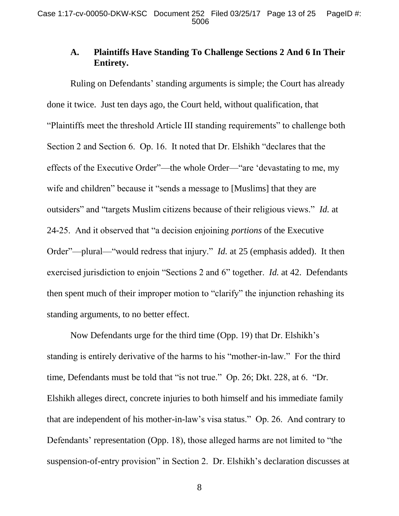## **A. Plaintiffs Have Standing To Challenge Sections 2 And 6 In Their Entirety.**

Ruling on Defendants' standing arguments is simple; the Court has already done it twice. Just ten days ago, the Court held, without qualification, that "Plaintiffs meet the threshold Article III standing requirements" to challenge both Section 2 and Section 6. Op. 16. It noted that Dr. Elshikh "declares that the effects of the Executive Order"—the whole Order—"are 'devastating to me, my wife and children" because it "sends a message to [Muslims] that they are outsiders" and "targets Muslim citizens because of their religious views." *Id.* at 24-25. And it observed that "a decision enjoining *portions* of the Executive Order"—plural—"would redress that injury." *Id.* at 25 (emphasis added). It then exercised jurisdiction to enjoin "Sections 2 and 6" together. *Id.* at 42. Defendants then spent much of their improper motion to "clarify" the injunction rehashing its standing arguments, to no better effect.

Now Defendants urge for the third time (Opp. 19) that Dr. Elshikh's standing is entirely derivative of the harms to his "mother-in-law." For the third time, Defendants must be told that "is not true." Op. 26; Dkt. 228, at 6. "Dr. Elshikh alleges direct, concrete injuries to both himself and his immediate family that are independent of his mother-in-law's visa status." Op. 26. And contrary to Defendants' representation (Opp. 18), those alleged harms are not limited to "the suspension-of-entry provision" in Section 2. Dr. Elshikh's declaration discusses at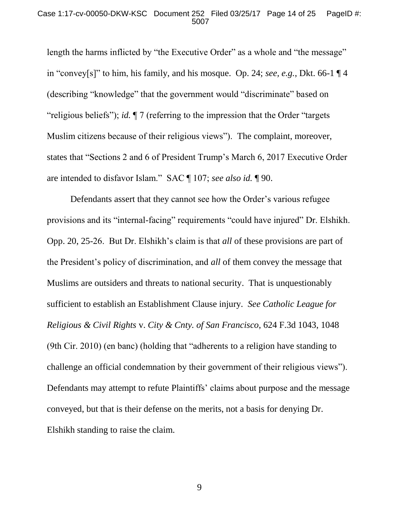#### Case 1:17-cv-00050-DKW-KSC Document 252 Filed 03/25/17 Page 14 of 25 PageID #: 5007

length the harms inflicted by "the Executive Order" as a whole and "the message" in "convey[s]" to him, his family, and his mosque. Op. 24; *see, e.g.*, Dkt. 66-1 ¶ 4 (describing "knowledge" that the government would "discriminate" based on "religious beliefs"); *id.* ¶ 7 (referring to the impression that the Order "targets Muslim citizens because of their religious views"). The complaint, moreover, states that "Sections 2 and 6 of President Trump's March 6, 2017 Executive Order are intended to disfavor Islam." SAC ¶ 107; *see also id.* ¶ 90.

Defendants assert that they cannot see how the Order's various refugee provisions and its "internal-facing" requirements "could have injured" Dr. Elshikh. Opp. 20, 25-26. But Dr. Elshikh's claim is that *all* of these provisions are part of the President's policy of discrimination, and *all* of them convey the message that Muslims are outsiders and threats to national security. That is unquestionably sufficient to establish an Establishment Clause injury. *See Catholic League for Religious & Civil Rights* v. *City & Cnty. of San Francisco*, 624 F.3d 1043, 1048 (9th Cir. 2010) (en banc) (holding that "adherents to a religion have standing to challenge an official condemnation by their government of their religious views"). Defendants may attempt to refute Plaintiffs' claims about purpose and the message conveyed, but that is their defense on the merits, not a basis for denying Dr. Elshikh standing to raise the claim.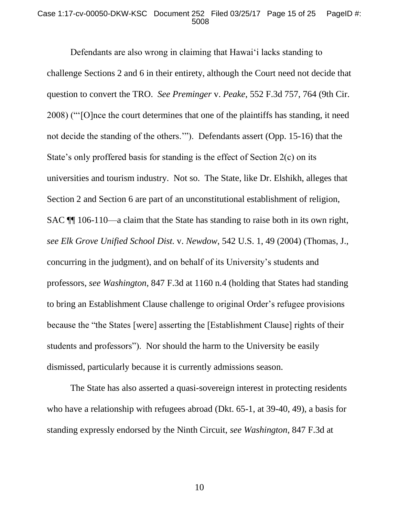#### Case 1:17-cv-00050-DKW-KSC Document 252 Filed 03/25/17 Page 15 of 25 PageID #: 5008

Defendants are also wrong in claiming that Hawai'i lacks standing to challenge Sections 2 and 6 in their entirety, although the Court need not decide that question to convert the TRO. *See Preminger* v. *Peake*, 552 F.3d 757, 764 (9th Cir. 2008) ("'[O]nce the court determines that one of the plaintiffs has standing, it need not decide the standing of the others.'"). Defendants assert (Opp. 15-16) that the State's only proffered basis for standing is the effect of Section 2(c) on its universities and tourism industry. Not so. The State, like Dr. Elshikh, alleges that Section 2 and Section 6 are part of an unconstitutional establishment of religion, SAC ¶¶ 106-110—a claim that the State has standing to raise both in its own right, *see Elk Grove Unified School Dist.* v. *Newdow*, 542 U.S. 1, 49 (2004) (Thomas, J., concurring in the judgment), and on behalf of its University's students and professors, *see Washington*, 847 F.3d at 1160 n.4 (holding that States had standing to bring an Establishment Clause challenge to original Order's refugee provisions because the "the States [were] asserting the [Establishment Clause] rights of their students and professors"). Nor should the harm to the University be easily dismissed, particularly because it is currently admissions season.

The State has also asserted a quasi-sovereign interest in protecting residents who have a relationship with refugees abroad (Dkt. 65-1, at 39-40, 49), a basis for standing expressly endorsed by the Ninth Circuit, *see Washington*, 847 F.3d at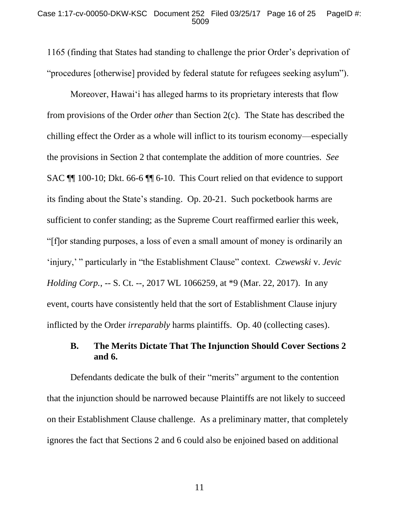1165 (finding that States had standing to challenge the prior Order's deprivation of "procedures [otherwise] provided by federal statute for refugees seeking asylum").

Moreover, Hawai'i has alleged harms to its proprietary interests that flow from provisions of the Order *other* than Section 2(c). The State has described the chilling effect the Order as a whole will inflict to its tourism economy—especially the provisions in Section 2 that contemplate the addition of more countries. *See*  SAC ¶¶ 100-10; Dkt. 66-6 ¶¶ 6-10. This Court relied on that evidence to support its finding about the State's standing. Op. 20-21. Such pocketbook harms are sufficient to confer standing; as the Supreme Court reaffirmed earlier this week, "[f]or standing purposes, a loss of even a small amount of money is ordinarily an 'injury,' " particularly in "the Establishment Clause" context. *Czwewski* v. *Jevic Holding Corp.*, -- S. Ct. --, 2017 WL 1066259, at \*9 (Mar. 22, 2017). In any event, courts have consistently held that the sort of Establishment Clause injury inflicted by the Order *irreparably* harms plaintiffs. Op. 40 (collecting cases).

## **B. The Merits Dictate That The Injunction Should Cover Sections 2 and 6.**

Defendants dedicate the bulk of their "merits" argument to the contention that the injunction should be narrowed because Plaintiffs are not likely to succeed on their Establishment Clause challenge. As a preliminary matter, that completely ignores the fact that Sections 2 and 6 could also be enjoined based on additional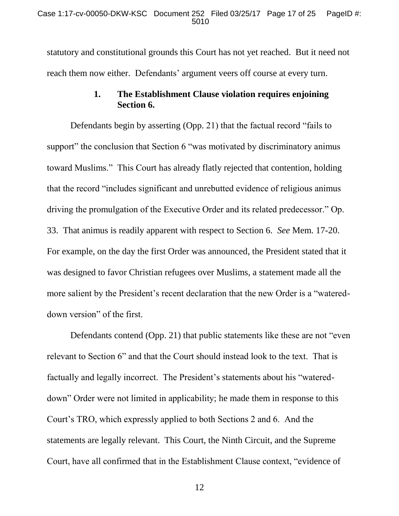statutory and constitutional grounds this Court has not yet reached. But it need not reach them now either. Defendants' argument veers off course at every turn.

## **1. The Establishment Clause violation requires enjoining Section 6.**

Defendants begin by asserting (Opp. 21) that the factual record "fails to support" the conclusion that Section 6 "was motivated by discriminatory animus toward Muslims." This Court has already flatly rejected that contention, holding that the record "includes significant and unrebutted evidence of religious animus driving the promulgation of the Executive Order and its related predecessor." Op. 33. That animus is readily apparent with respect to Section 6. *See* Mem. 17-20. For example, on the day the first Order was announced, the President stated that it was designed to favor Christian refugees over Muslims, a statement made all the more salient by the President's recent declaration that the new Order is a "watereddown version" of the first.

Defendants contend (Opp. 21) that public statements like these are not "even relevant to Section 6" and that the Court should instead look to the text. That is factually and legally incorrect. The President's statements about his "watereddown" Order were not limited in applicability; he made them in response to this Court's TRO, which expressly applied to both Sections 2 and 6. And the statements are legally relevant. This Court, the Ninth Circuit, and the Supreme Court, have all confirmed that in the Establishment Clause context, "evidence of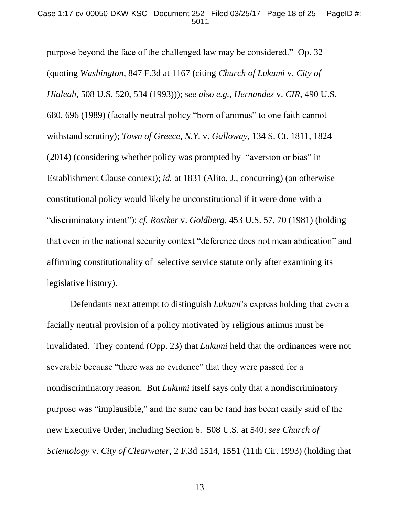#### Case 1:17-cv-00050-DKW-KSC Document 252 Filed 03/25/17 Page 18 of 25 PageID #: 5011

purpose beyond the face of the challenged law may be considered." Op. 32 (quoting *Washington*, 847 F.3d at 1167 (citing *Church of Lukumi* v. *City of Hialeah*, 508 U.S. 520, 534 (1993))); *see also e.g.*, *Hernandez* v. *CIR*, 490 U.S. 680, 696 (1989) (facially neutral policy "born of animus" to one faith cannot withstand scrutiny); *Town of Greece, N.Y.* v. *Galloway*, 134 S. Ct. 1811, 1824 (2014) (considering whether policy was prompted by "aversion or bias" in Establishment Clause context); *id.* at 1831 (Alito, J., concurring) (an otherwise constitutional policy would likely be unconstitutional if it were done with a "discriminatory intent"); *cf. Rostker* v. *Goldberg*, 453 U.S. 57, 70 (1981) (holding that even in the national security context "deference does not mean abdication" and affirming constitutionality of selective service statute only after examining its legislative history).

Defendants next attempt to distinguish *Lukumi*'s express holding that even a facially neutral provision of a policy motivated by religious animus must be invalidated. They contend (Opp. 23) that *Lukumi* held that the ordinances were not severable because "there was no evidence" that they were passed for a nondiscriminatory reason. But *Lukumi* itself says only that a nondiscriminatory purpose was "implausible," and the same can be (and has been) easily said of the new Executive Order, including Section 6. 508 U.S. at 540; *see Church of Scientology* v. *City of Clearwater*, 2 F.3d 1514, 1551 (11th Cir. 1993) (holding that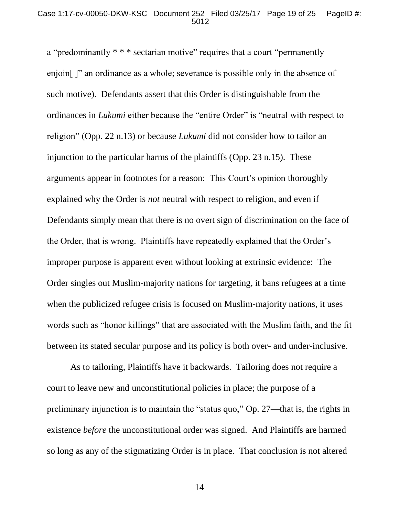a "predominantly \* \* \* sectarian motive" requires that a court "permanently enjoin<sup>[1]</sup> an ordinance as a whole; severance is possible only in the absence of such motive). Defendants assert that this Order is distinguishable from the ordinances in *Lukumi* either because the "entire Order" is "neutral with respect to religion" (Opp. 22 n.13) or because *Lukumi* did not consider how to tailor an injunction to the particular harms of the plaintiffs (Opp. 23 n.15). These arguments appear in footnotes for a reason: This Court's opinion thoroughly explained why the Order is *not* neutral with respect to religion, and even if Defendants simply mean that there is no overt sign of discrimination on the face of the Order, that is wrong. Plaintiffs have repeatedly explained that the Order's improper purpose is apparent even without looking at extrinsic evidence: The Order singles out Muslim-majority nations for targeting, it bans refugees at a time when the publicized refugee crisis is focused on Muslim-majority nations, it uses words such as "honor killings" that are associated with the Muslim faith, and the fit between its stated secular purpose and its policy is both over- and under-inclusive.

As to tailoring, Plaintiffs have it backwards. Tailoring does not require a court to leave new and unconstitutional policies in place; the purpose of a preliminary injunction is to maintain the "status quo," Op. 27—that is, the rights in existence *before* the unconstitutional order was signed. And Plaintiffs are harmed so long as any of the stigmatizing Order is in place. That conclusion is not altered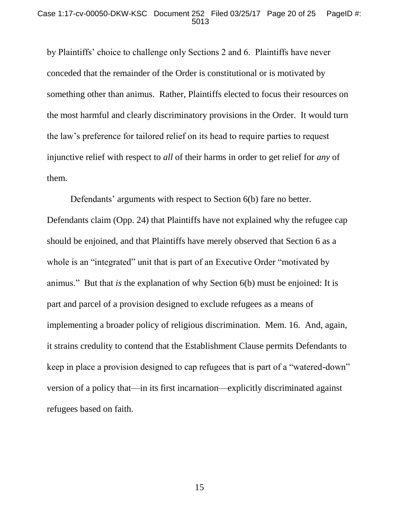by Plaintiffs' choice to challenge only Sections 2 and 6. Plaintiffs have never conceded that the remainder of the Order is constitutional or is motivated by something other than animus. Rather, Plaintiffs elected to focus their resources on the most harmful and clearly discriminatory provisions in the Order. It would turn the law's preference for tailored relief on its head to require parties to request injunctive relief with respect to *all* of their harms in order to get relief for *any* of them.

Defendants' arguments with respect to Section 6(b) fare no better. Defendants claim (Opp. 24) that Plaintiffs have not explained why the refugee cap should be enjoined, and that Plaintiffs have merely observed that Section 6 as a whole is an "integrated" unit that is part of an Executive Order "motivated by animus." But that *is* the explanation of why Section 6(b) must be enjoined: It is part and parcel of a provision designed to exclude refugees as a means of implementing a broader policy of religious discrimination. Mem. 16. And, again, it strains credulity to contend that the Establishment Clause permits Defendants to keep in place a provision designed to cap refugees that is part of a "watered-down" version of a policy that—in its first incarnation—explicitly discriminated against refugees based on faith.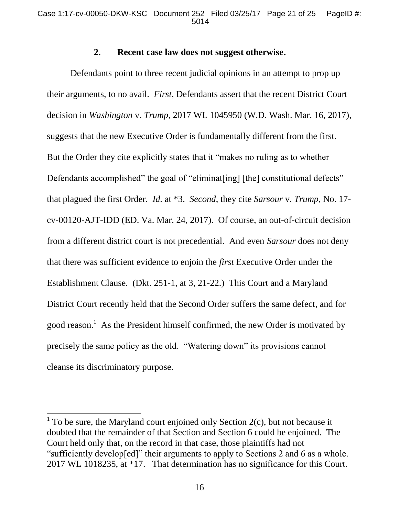### **2. Recent case law does not suggest otherwise.**

Defendants point to three recent judicial opinions in an attempt to prop up their arguments, to no avail. *First*, Defendants assert that the recent District Court decision in *Washington* v. *Trump*, 2017 WL 1045950 (W.D. Wash. Mar. 16, 2017), suggests that the new Executive Order is fundamentally different from the first. But the Order they cite explicitly states that it "makes no ruling as to whether Defendants accomplished" the goal of "eliminat[ing] [the] constitutional defects" that plagued the first Order. *Id.* at \*3. *Second*, they cite *Sarsour* v. *Trump*, No. 17 cv-00120-AJT-IDD (ED. Va. Mar. 24, 2017). Of course, an out-of-circuit decision from a different district court is not precedential. And even *Sarsour* does not deny that there was sufficient evidence to enjoin the *first* Executive Order under the Establishment Clause. (Dkt. 251-1, at 3, 21-22.) This Court and a Maryland District Court recently held that the Second Order suffers the same defect, and for good reason.<sup>1</sup> As the President himself confirmed, the new Order is motivated by precisely the same policy as the old. "Watering down" its provisions cannot cleanse its discriminatory purpose.

<sup>&</sup>lt;sup>1</sup> To be sure, the Maryland court enjoined only Section  $2(c)$ , but not because it doubted that the remainder of that Section and Section 6 could be enjoined. The Court held only that, on the record in that case, those plaintiffs had not "sufficiently develop[ed]" their arguments to apply to Sections 2 and 6 as a whole. 2017 WL 1018235, at \*17. That determination has no significance for this Court.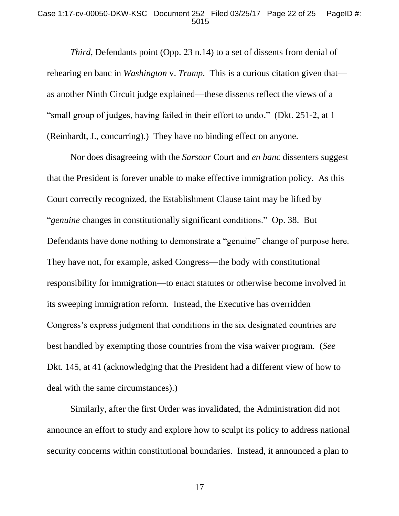#### Case 1:17-cv-00050-DKW-KSC Document 252 Filed 03/25/17 Page 22 of 25 PageID #: 5015

*Third*, Defendants point (Opp. 23 n.14) to a set of dissents from denial of rehearing en banc in *Washington* v. *Trump*. This is a curious citation given that as another Ninth Circuit judge explained—these dissents reflect the views of a "small group of judges, having failed in their effort to undo." (Dkt. 251-2, at 1 (Reinhardt, J., concurring).) They have no binding effect on anyone.

Nor does disagreeing with the *Sarsour* Court and *en banc* dissenters suggest that the President is forever unable to make effective immigration policy. As this Court correctly recognized, the Establishment Clause taint may be lifted by "*genuine* changes in constitutionally significant conditions." Op. 38. But Defendants have done nothing to demonstrate a "genuine" change of purpose here. They have not, for example, asked Congress—the body with constitutional responsibility for immigration—to enact statutes or otherwise become involved in its sweeping immigration reform. Instead, the Executive has overridden Congress's express judgment that conditions in the six designated countries are best handled by exempting those countries from the visa waiver program. (*See*  Dkt. 145, at 41 (acknowledging that the President had a different view of how to deal with the same circumstances).)

Similarly, after the first Order was invalidated, the Administration did not announce an effort to study and explore how to sculpt its policy to address national security concerns within constitutional boundaries. Instead, it announced a plan to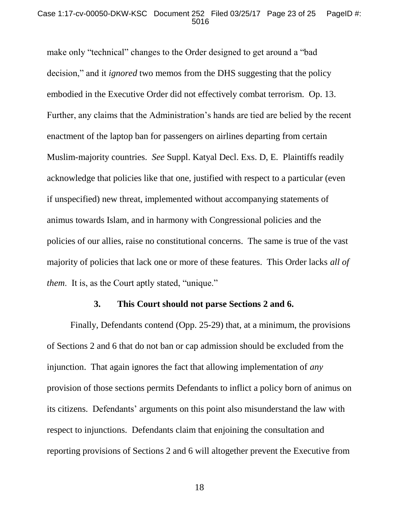#### Case 1:17-cv-00050-DKW-KSC Document 252 Filed 03/25/17 Page 23 of 25 PageID #: 5016

make only "technical" changes to the Order designed to get around a "bad decision," and it *ignored* two memos from the DHS suggesting that the policy embodied in the Executive Order did not effectively combat terrorism. Op. 13. Further, any claims that the Administration's hands are tied are belied by the recent enactment of the laptop ban for passengers on airlines departing from certain Muslim-majority countries. *See* Suppl. Katyal Decl. Exs. D, E. Plaintiffs readily acknowledge that policies like that one, justified with respect to a particular (even if unspecified) new threat, implemented without accompanying statements of animus towards Islam, and in harmony with Congressional policies and the policies of our allies, raise no constitutional concerns. The same is true of the vast majority of policies that lack one or more of these features. This Order lacks *all of them.* It is, as the Court aptly stated, "unique."

### **3. This Court should not parse Sections 2 and 6.**

Finally, Defendants contend (Opp. 25-29) that, at a minimum, the provisions of Sections 2 and 6 that do not ban or cap admission should be excluded from the injunction. That again ignores the fact that allowing implementation of *any*  provision of those sections permits Defendants to inflict a policy born of animus on its citizens. Defendants' arguments on this point also misunderstand the law with respect to injunctions. Defendants claim that enjoining the consultation and reporting provisions of Sections 2 and 6 will altogether prevent the Executive from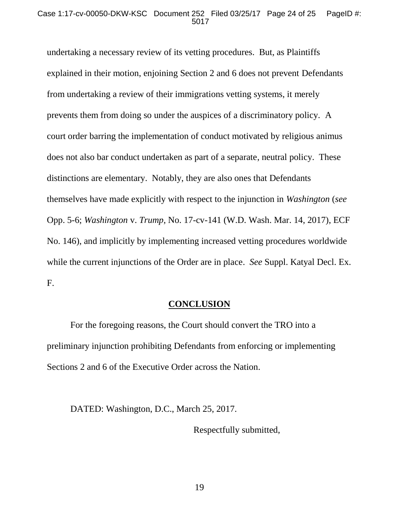undertaking a necessary review of its vetting procedures. But, as Plaintiffs explained in their motion, enjoining Section 2 and 6 does not prevent Defendants from undertaking a review of their immigrations vetting systems, it merely prevents them from doing so under the auspices of a discriminatory policy. A court order barring the implementation of conduct motivated by religious animus does not also bar conduct undertaken as part of a separate, neutral policy. These distinctions are elementary. Notably, they are also ones that Defendants themselves have made explicitly with respect to the injunction in *Washington* (*see*  Opp. 5-6; *Washington* v. *Trump*, No. 17-cv-141 (W.D. Wash. Mar. 14, 2017), ECF No. 146), and implicitly by implementing increased vetting procedures worldwide while the current injunctions of the Order are in place. *See* Suppl. Katyal Decl. Ex. F.

## **CONCLUSION**

For the foregoing reasons, the Court should convert the TRO into a preliminary injunction prohibiting Defendants from enforcing or implementing Sections 2 and 6 of the Executive Order across the Nation.

DATED: Washington, D.C., March 25, 2017.

Respectfully submitted,